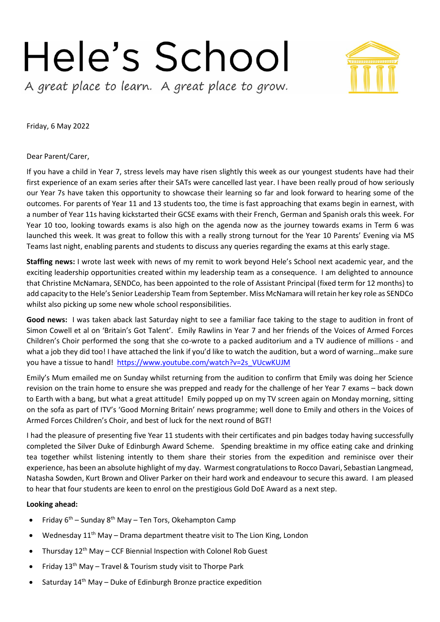## Hele's School A great place to learn. A great place to grow.



Friday, 6 May 2022

Dear Parent/Carer,

If you have a child in Year 7, stress levels may have risen slightly this week as our youngest students have had their first experience of an exam series after their SATs were cancelled last year. I have been really proud of how seriously our Year 7s have taken this opportunity to showcase their learning so far and look forward to hearing some of the outcomes. For parents of Year 11 and 13 students too, the time is fast approaching that exams begin in earnest, with a number of Year 11s having kickstarted their GCSE exams with their French, German and Spanish orals this week. For Year 10 too, looking towards exams is also high on the agenda now as the journey towards exams in Term 6 was launched this week. It was great to follow this with a really strong turnout for the Year 10 Parents' Evening via MS Teams last night, enabling parents and students to discuss any queries regarding the exams at this early stage.

**Staffing news:** I wrote last week with news of my remit to work beyond Hele's School next academic year, and the exciting leadership opportunities created within my leadership team as a consequence. I am delighted to announce that Christine McNamara, SENDCo, has been appointed to the role of Assistant Principal (fixed term for 12 months) to add capacity to the Hele's Senior Leadership Team from September. Miss McNamara will retain her key role as SENDCo whilst also picking up some new whole school responsibilities.

**Good news:** I was taken aback last Saturday night to see a familiar face taking to the stage to audition in front of Simon Cowell et al on 'Britain's Got Talent'. Emily Rawlins in Year 7 and her friends of the Voices of Armed Forces Children's Choir performed the song that she co-wrote to a packed auditorium and a TV audience of millions - and what a job they did too! I have attached the link if you'd like to watch the audition, but a word of warning…make sure you have a tissue to hand! [https://www.youtube.com/watch?v=2s\\_VUcwKUJM](https://www.youtube.com/watch?v=2s_VUcwKUJM)

Emily's Mum emailed me on Sunday whilst returning from the audition to confirm that Emily was doing her Science revision on the train home to ensure she was prepped and ready for the challenge of her Year 7 exams – back down to Earth with a bang, but what a great attitude! Emily popped up on my TV screen again on Monday morning, sitting on the sofa as part of ITV's 'Good Morning Britain' news programme; well done to Emily and others in the Voices of Armed Forces Children's Choir, and best of luck for the next round of BGT!

I had the pleasure of presenting five Year 11 students with their certificates and pin badges today having successfully completed the Silver Duke of Edinburgh Award Scheme. Spending breaktime in my office eating cake and drinking tea together whilst listening intently to them share their stories from the expedition and reminisce over their experience, has been an absolute highlight of my day. Warmest congratulations to Rocco Davari, Sebastian Langmead, Natasha Sowden, Kurt Brown and Oliver Parker on their hard work and endeavour to secure this award. I am pleased to hear that four students are keen to enrol on the prestigious Gold DoE Award as a next step.

## **Looking ahead:**

- Friday 6<sup>th</sup> Sunday 8<sup>th</sup> May Ten Tors, Okehampton Camp
- Wednesday  $11<sup>th</sup>$  May Drama department theatre visit to The Lion King, London
- Thursday 12<sup>th</sup> May CCF Biennial Inspection with Colonel Rob Guest
- Friday 13th May Travel & Tourism study visit to Thorpe Park
- Saturday  $14<sup>th</sup>$  May Duke of Edinburgh Bronze practice expedition